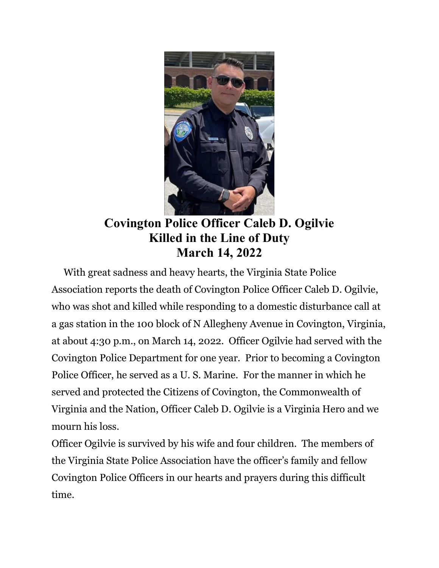

## Covington Police Officer Caleb D. Ogilvie Killed in the Line of Duty March 14, 2022

 With great sadness and heavy hearts, the Virginia State Police Association reports the death of Covington Police Officer Caleb D. Ogilvie, who was shot and killed while responding to a domestic disturbance call at a gas station in the 100 block of N Allegheny Avenue in Covington, Virginia, at about 4:30 p.m., on March 14, 2022. Officer Ogilvie had served with the Covington Police Department for one year. Prior to becoming a Covington Police Officer, he served as a U. S. Marine. For the manner in which he served and protected the Citizens of Covington, the Commonwealth of Virginia and the Nation, Officer Caleb D. Ogilvie is a Virginia Hero and we mourn his loss.

Officer Ogilvie is survived by his wife and four children. The members of the Virginia State Police Association have the officer's family and fellow Covington Police Officers in our hearts and prayers during this difficult time.